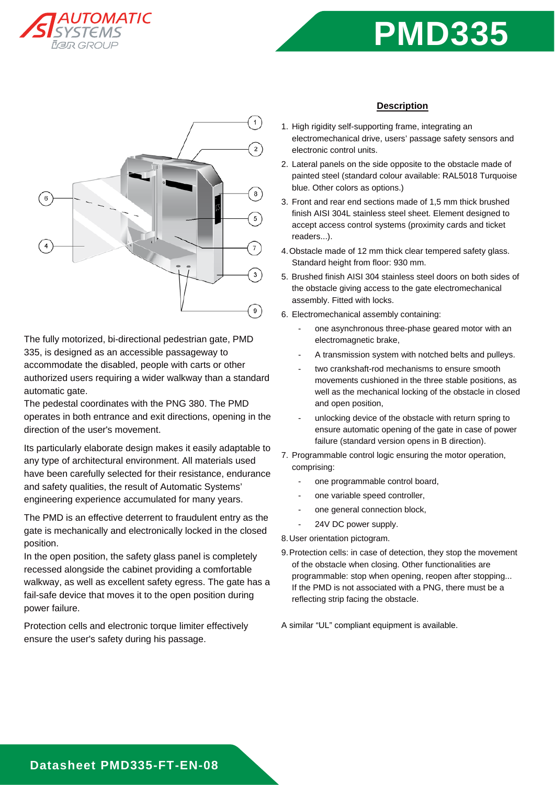





The fully motorized, bi-directional pedestrian gate, PMD 335, is designed as an accessible passageway to accommodate the disabled, people with carts or other authorized users requiring a wider walkway than a standard automatic gate.

The pedestal coordinates with the PNG 380. The PMD operates in both entrance and exit directions, opening in the direction of the user's movement.

Its particularly elaborate design makes it easily adaptable to any type of architectural environment. All materials used have been carefully selected for their resistance, endurance and safety qualities, the result of Automatic Systems' engineering experience accumulated for many years.

The PMD is an effective deterrent to fraudulent entry as the gate is mechanically and electronically locked in the closed position.

In the open position, the safety glass panel is completely recessed alongside the cabinet providing a comfortable walkway, as well as excellent safety egress. The gate has a fail-safe device that moves it to the open position during power failure.

Protection cells and electronic torque limiter effectively ensure the user's safety during his passage.

### **Description**

- 1. High rigidity self-supporting frame, integrating an electromechanical drive, users' passage safety sensors and electronic control units.
- 2. Lateral panels on the side opposite to the obstacle made of painted steel (standard colour available: RAL5018 Turquoise blue. Other colors as options.)
- 3. Front and rear end sections made of 1,5 mm thick brushed finish AISI 304L stainless steel sheet. Element designed to accept access control systems (proximity cards and ticket readers...).
- 4. Obstacle made of 12 mm thick clear tempered safety glass. Standard height from floor: 930 mm.
- 5. Brushed finish AISI 304 stainless steel doors on both sides of the obstacle giving access to the gate electromechanical assembly. Fitted with locks.
- 6. Electromechanical assembly containing:
	- one asynchronous three-phase geared motor with an electromagnetic brake,
	- A transmission system with notched belts and pulleys.
	- two crankshaft-rod mechanisms to ensure smooth movements cushioned in the three stable positions, as well as the mechanical locking of the obstacle in closed and open position,
	- unlocking device of the obstacle with return spring to ensure automatic opening of the gate in case of power failure (standard version opens in B direction).
- 7. Programmable control logic ensuring the motor operation, comprising:
	- one programmable control board,
	- one variable speed controller.
	- one general connection block,
	- 24V DC power supply.

8. User orientation pictogram.

9. Protection cells: in case of detection, they stop the movement of the obstacle when closing. Other functionalities are programmable: stop when opening, reopen after stopping... If the PMD is not associated with a PNG, there must be a reflecting strip facing the obstacle.

A similar "UL" compliant equipment is available.